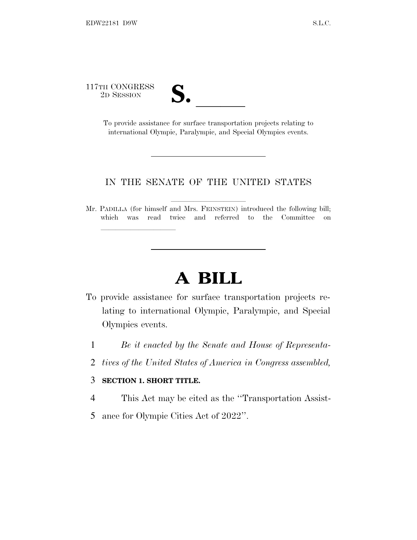117TH CONGRESS

TH CONGRESS<br>
2D SESSION<br>
To provide assistance for surface transportation projects relating to international Olympic, Paralympic, and Special Olympics events.

## IN THE SENATE OF THE UNITED STATES

Mr. PADILLA (for himself and Mrs. FEINSTEIN) introduced the following bill; which was read twice and referred to the Committee on

## **A BILL**

- To provide assistance for surface transportation projects relating to international Olympic, Paralympic, and Special Olympics events.
	- 1 *Be it enacted by the Senate and House of Representa-*
	- 2 *tives of the United States of America in Congress assembled,*

## 3 **SECTION 1. SHORT TITLE.**

lla se al consegue de la consegue de la consegue de la consegue de la consegue de la consegue de la consegue d<br>La consegue de la consegue de la consegue de la consegue de la consegue de la consegue de la consegue de la co

- 4 This Act may be cited as the ''Transportation Assist-
- 5 ance for Olympic Cities Act of 2022''.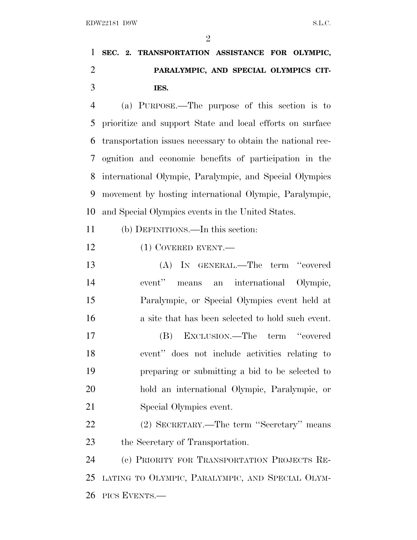## **SEC. 2. TRANSPORTATION ASSISTANCE FOR OLYMPIC, PARALYMPIC, AND SPECIAL OLYMPICS CIT-IES.**

 (a) PURPOSE.—The purpose of this section is to prioritize and support State and local efforts on surface transportation issues necessary to obtain the national rec- ognition and economic benefits of participation in the international Olympic, Paralympic, and Special Olympics movement by hosting international Olympic, Paralympic, and Special Olympics events in the United States.

(b) DEFINITIONS.—In this section:

12 (1) COVERED EVENT.—

 (A) IN GENERAL.—The term ''covered event'' means an international Olympic, Paralympic, or Special Olympics event held at a site that has been selected to hold such event. (B) EXCLUSION.—The term ''covered event'' does not include activities relating to preparing or submitting a bid to be selected to hold an international Olympic, Paralympic, or Special Olympics event. (2) SECRETARY.—The term ''Secretary'' means

the Secretary of Transportation.

 (c) PRIORITY FOR TRANSPORTATION PROJECTS RE- LATING TO OLYMPIC, PARALYMPIC, AND SPECIAL OLYM-PICS EVENTS.—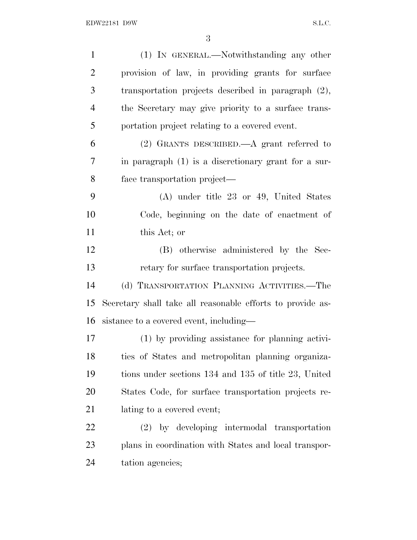| $\mathbf{1}$   | (1) IN GENERAL.—Notwithstanding any other                  |
|----------------|------------------------------------------------------------|
| $\overline{2}$ | provision of law, in providing grants for surface          |
| 3              | transportation projects described in paragraph $(2)$ ,     |
| $\overline{4}$ | the Secretary may give priority to a surface trans-        |
| 5              | portation project relating to a covered event.             |
| 6              | $(2)$ GRANTS DESCRIBED.—A grant referred to                |
| 7              | in paragraph $(1)$ is a discretionary grant for a sur-     |
| 8              | face transportation project—                               |
| 9              | $(A)$ under title 23 or 49, United States                  |
| 10             | Code, beginning on the date of enactment of                |
| 11             | this Act; or                                               |
| 12             | (B) otherwise administered by the Sec-                     |
| 13             | retary for surface transportation projects.                |
| 14             | (d) TRANSPORTATION PLANNING ACTIVITIES.—The                |
| 15             | Secretary shall take all reasonable efforts to provide as- |
| 16             | sistance to a covered event, including—                    |
| 17             | (1) by providing assistance for planning activi-           |
| 18             | ties of States and metropolitan planning organiza-         |
| 19             | tions under sections 134 and 135 of title 23, United       |
| 20             | States Code, for surface transportation projects re-       |
| 21             | lating to a covered event;                                 |
| 22             | (2) by developing intermodal transportation                |
| 23             | plans in coordination with States and local transpor-      |
| 24             | tation agencies;                                           |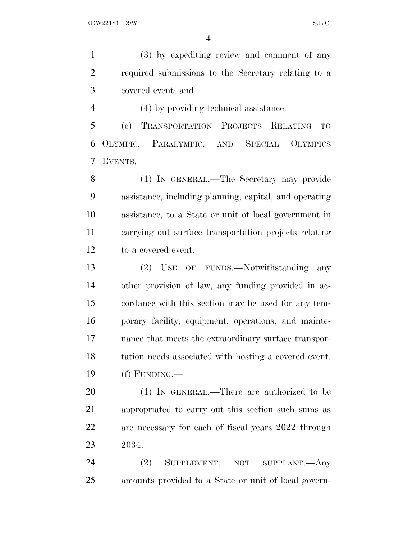(3) by expediting review and comment of any required submissions to the Secretary relating to a covered event; and

(4) by providing technical assistance.

 (e) TRANSPORTATION PROJECTS RELATING TO OLYMPIC, PARALYMPIC, AND SPECIAL OLYMPICS EVENTS.—

 (1) IN GENERAL.—The Secretary may provide assistance, including planning, capital, and operating assistance, to a State or unit of local government in carrying out surface transportation projects relating to a covered event.

 (2) USE OF FUNDS.—Notwithstanding any other provision of law, any funding provided in ac- cordance with this section may be used for any tem- porary facility, equipment, operations, and mainte- nance that meets the extraordinary surface transpor- tation needs associated with hosting a covered event. (f) FUNDING.—

 (1) IN GENERAL.—There are authorized to be appropriated to carry out this section such sums as are necessary for each of fiscal years 2022 through 2034.

 (2) SUPPLEMENT, NOT SUPPLANT.—Any amounts provided to a State or unit of local govern-